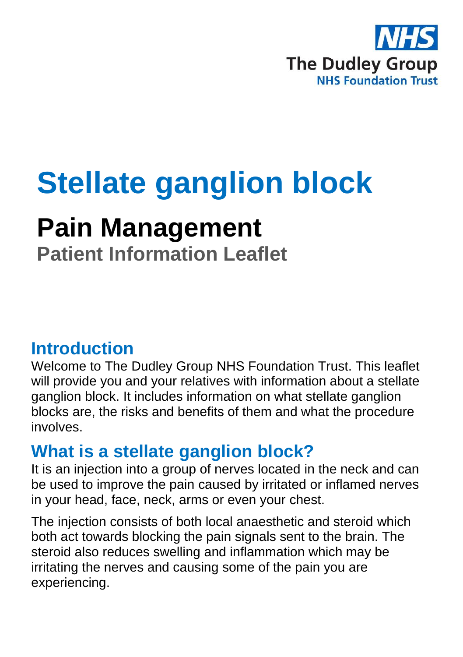

# **Stellate ganglion block**

## **Pain Management**

**Patient Information Leaflet**

### **Introduction**

Welcome to The Dudley Group NHS Foundation Trust. This leaflet will provide you and your relatives with information about a stellate ganglion block. It includes information on what stellate ganglion blocks are, the risks and benefits of them and what the procedure involves.

### **What is a stellate ganglion block?**

It is an injection into a group of nerves located in the neck and can be used to improve the pain caused by irritated or inflamed nerves in your head, face, neck, arms or even your chest.

The injection consists of both local anaesthetic and steroid which both act towards blocking the pain signals sent to the brain. The steroid also reduces swelling and inflammation which may be irritating the nerves and causing some of the pain you are experiencing.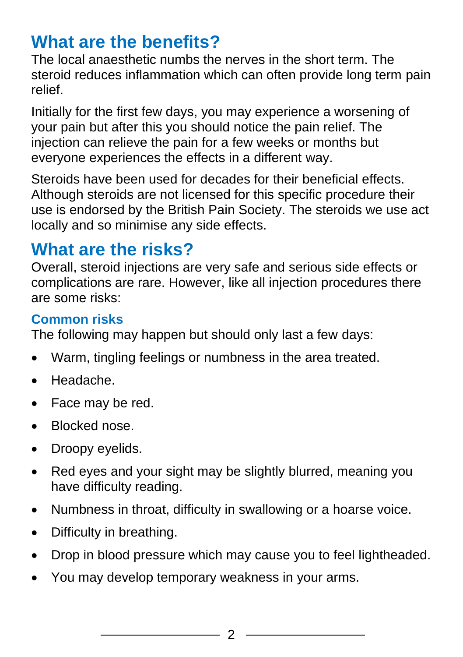### **What are the benefits?**

The local anaesthetic numbs the nerves in the short term. The steroid reduces inflammation which can often provide long term pain relief.

Initially for the first few days, you may experience a worsening of your pain but after this you should notice the pain relief. The injection can relieve the pain for a few weeks or months but everyone experiences the effects in a different way.

Steroids have been used for decades for their beneficial effects. Although steroids are not licensed for this specific procedure their use is endorsed by the British Pain Society. The steroids we use act locally and so minimise any side effects.

### **What are the risks?**

Overall, steroid injections are very safe and serious side effects or complications are rare. However, like all injection procedures there are some risks:

### **Common risks**

The following may happen but should only last a few days:

- Warm, tingling feelings or numbness in the area treated.
- Headache.
- Face may be red.
- Blocked nose.
- Droopy eyelids.
- Red eyes and your sight may be slightly blurred, meaning you have difficulty reading.
- Numbness in throat, difficulty in swallowing or a hoarse voice.
- Difficulty in breathing.
- Drop in blood pressure which may cause you to feel lightheaded.
- You may develop temporary weakness in your arms.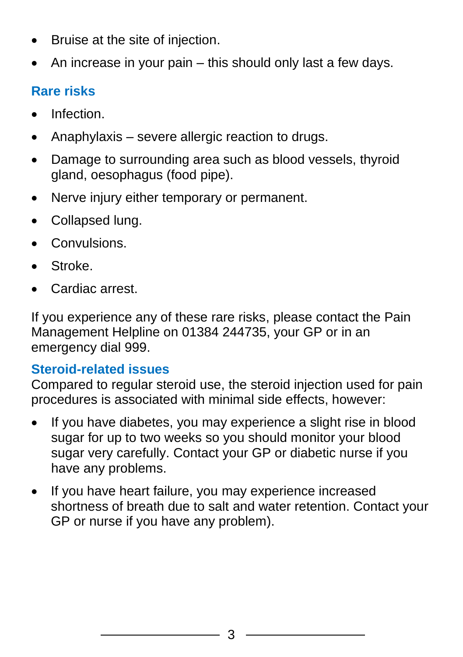- Bruise at the site of injection.
- An increase in your pain this should only last a few days.

### **Rare risks**

- Infection.
- Anaphylaxis severe allergic reaction to drugs.
- Damage to surrounding area such as blood vessels, thyroid gland, oesophagus (food pipe).
- Nerve injury either temporary or permanent.
- Collapsed lung.
- Convulsions.
- Stroke.
- Cardiac arrest.

If you experience any of these rare risks, please contact the Pain Management Helpline on 01384 244735, your GP or in an emergency dial 999.

#### **Steroid-related issues**

Compared to regular steroid use, the steroid injection used for pain procedures is associated with minimal side effects, however:

- If you have diabetes, you may experience a slight rise in blood sugar for up to two weeks so you should monitor your blood sugar very carefully. Contact your GP or diabetic nurse if you have any problems.
- If you have heart failure, you may experience increased shortness of breath due to salt and water retention. Contact your GP or nurse if you have any problem).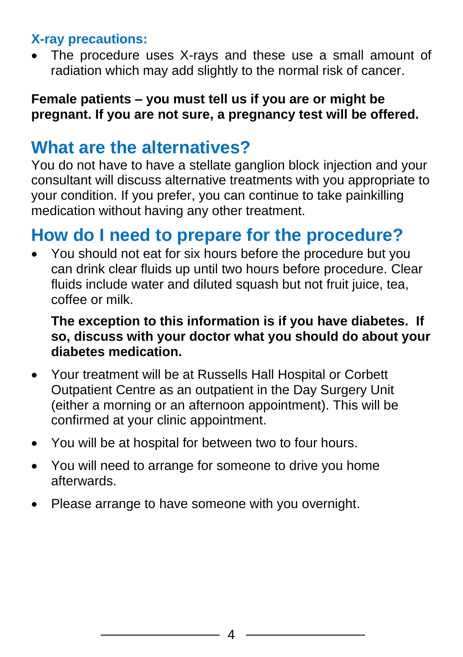#### **X-ray precautions:**

The procedure uses X-rays and these use a small amount of radiation which may add slightly to the normal risk of cancer.

#### **Female patients – you must tell us if you are or might be pregnant. If you are not sure, a pregnancy test will be offered.**

### **What are the alternatives?**

You do not have to have a stellate ganglion block injection and your consultant will discuss alternative treatments with you appropriate to your condition. If you prefer, you can continue to take painkilling medication without having any other treatment.

### **How do I need to prepare for the procedure?**

• You should not eat for six hours before the procedure but you can drink clear fluids up until two hours before procedure. Clear fluids include water and diluted squash but not fruit juice, tea, coffee or milk.

#### **The exception to this information is if you have diabetes. If so, discuss with your doctor what you should do about your diabetes medication.**

- Your treatment will be at Russells Hall Hospital or Corbett Outpatient Centre as an outpatient in the Day Surgery Unit (either a morning or an afternoon appointment). This will be confirmed at your clinic appointment.
- You will be at hospital for between two to four hours.
- You will need to arrange for someone to drive you home afterwards.
- Please arrange to have someone with you overnight.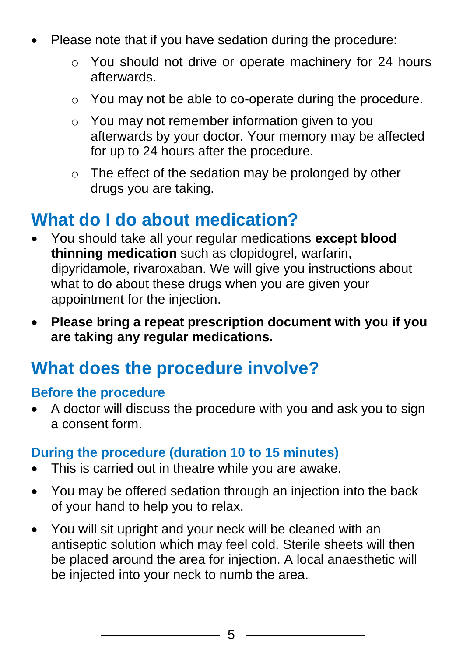- Please note that if you have sedation during the procedure:
	- o You should not drive or operate machinery for 24 hours afterwards.
	- o You may not be able to co-operate during the procedure.
	- o You may not remember information given to you afterwards by your doctor. Your memory may be affected for up to 24 hours after the procedure.
	- o The effect of the sedation may be prolonged by other drugs you are taking.

### **What do I do about medication?**

- You should take all your regular medications **except blood thinning medication** such as clopidogrel, warfarin, dipyridamole, rivaroxaban. We will give you instructions about what to do about these drugs when you are given your appointment for the injection.
- **Please bring a repeat prescription document with you if you are taking any regular medications.**

### **What does the procedure involve?**

#### **Before the procedure**

• A doctor will discuss the procedure with you and ask you to sign a consent form.

#### **During the procedure (duration 10 to 15 minutes)**

- This is carried out in theatre while you are awake.
- You may be offered sedation through an injection into the back of your hand to help you to relax.
- You will sit upright and your neck will be cleaned with an antiseptic solution which may feel cold. Sterile sheets will then be placed around the area for injection. A local anaesthetic will be injected into your neck to numb the area.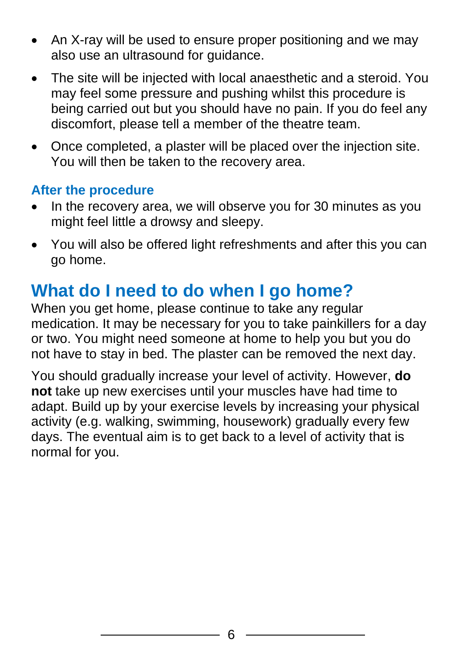- An X-ray will be used to ensure proper positioning and we may also use an ultrasound for guidance.
- The site will be injected with local anaesthetic and a steroid. You may feel some pressure and pushing whilst this procedure is being carried out but you should have no pain. If you do feel any discomfort, please tell a member of the theatre team.
- Once completed, a plaster will be placed over the injection site. You will then be taken to the recovery area.

#### **After the procedure**

- In the recovery area, we will observe you for 30 minutes as you might feel little a drowsy and sleepy.
- You will also be offered light refreshments and after this you can go home.

### **What do I need to do when I go home?**

When you get home, please continue to take any regular medication. It may be necessary for you to take painkillers for a day or two. You might need someone at home to help you but you do not have to stay in bed. The plaster can be removed the next day.

You should gradually increase your level of activity. However, **do not** take up new exercises until your muscles have had time to adapt. Build up by your exercise levels by increasing your physical activity (e.g. walking, swimming, housework) gradually every few days. The eventual aim is to get back to a level of activity that is normal for you.